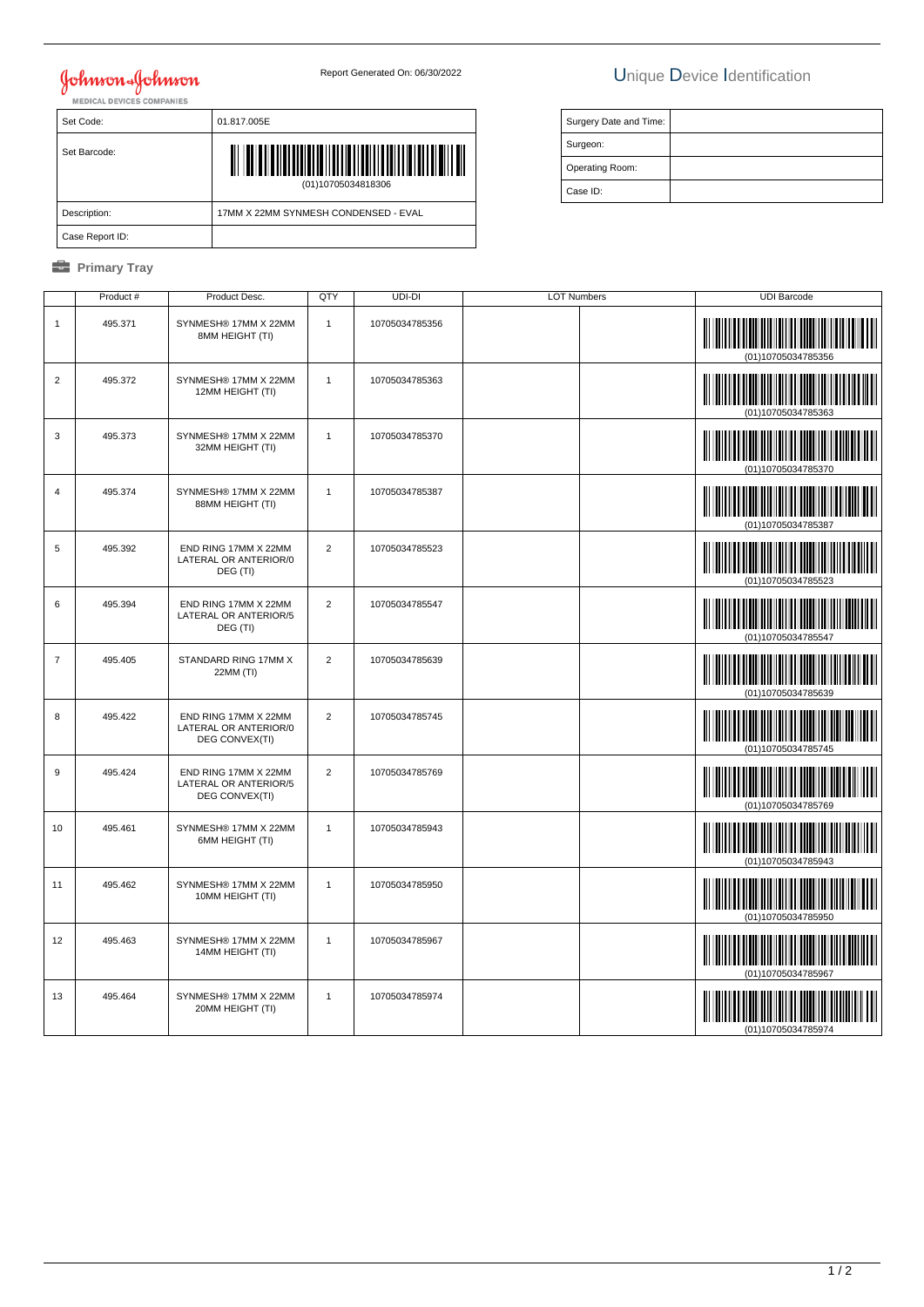## Johnson Johnson

## Report Generated On: 06/30/2022 Unique Device Identification

| Set Code:       | 01.817.005E                          |  |  |
|-----------------|--------------------------------------|--|--|
| Set Barcode:    | Ш<br>(01)10705034818306              |  |  |
| Description:    | 17MM X 22MM SYNMESH CONDENSED - EVAL |  |  |
| Case Report ID: |                                      |  |  |

### *<u><b>* Primary Tray</u>

| Surgery Date and Time: |  |
|------------------------|--|
| Surgeon:               |  |
| Operating Room:        |  |
| Case ID:               |  |

|                | Product # | Product Desc.                                                   | QTY            | UDI-DI         | LOT Numbers | <b>UDI Barcode</b>                                               |
|----------------|-----------|-----------------------------------------------------------------|----------------|----------------|-------------|------------------------------------------------------------------|
| $\mathbf{1}$   | 495.371   | SYNMESH® 17MM X 22MM<br>8MM HEIGHT (TI)                         | $\mathbf{1}$   | 10705034785356 |             | 01)10705034785356                                                |
| $\overline{2}$ | 495.372   | SYNMESH® 17MM X 22MM<br>12MM HEIGHT (TI)                        | $\mathbf{1}$   | 10705034785363 |             | (01)10705034785363                                               |
| 3              | 495.373   | SYNMESH® 17MM X 22MM<br>32MM HEIGHT (TI)                        | $\mathbf{1}$   | 10705034785370 |             | <b>THE REAL PROPERTY AND REAL PROPERTY</b><br>(01)10705034785370 |
| 4              | 495.374   | SYNMESH® 17MM X 22MM<br>88MM HEIGHT (TI)                        | $\mathbf{1}$   | 10705034785387 |             |                                                                  |
| 5              | 495.392   | END RING 17MM X 22MM<br>LATERAL OR ANTERIOR/0<br>DEG (TI)       | $\overline{2}$ | 10705034785523 |             | (01)10705034785523                                               |
| 6              | 495.394   | END RING 17MM X 22MM<br>LATERAL OR ANTERIOR/5<br>DEG (TI)       | 2              | 10705034785547 |             | <b>The Community of Second Second</b><br>(01)10705034785547      |
| $\overline{7}$ | 495.405   | STANDARD RING 17MM X<br>22MM (TI)                               | $\overline{2}$ | 10705034785639 |             | <b>THE REAL PROPERTY OF PERSON</b><br>(01)10705034785639         |
| 8              | 495.422   | END RING 17MM X 22MM<br>LATERAL OR ANTERIOR/0<br>DEG CONVEX(TI) | $\overline{2}$ | 10705034785745 |             | <b>HILLING COMMUNIST</b><br>(01)10705034785745                   |
| $9\,$          | 495.424   | END RING 17MM X 22MM<br>LATERAL OR ANTERIOR/5<br>DEG CONVEX(TI) | $\overline{2}$ | 10705034785769 |             | (01)10705034785769                                               |
| 10             | 495.461   | SYNMESH® 17MM X 22MM<br>6MM HEIGHT (TI)                         | $\mathbf{1}$   | 10705034785943 |             | (01)10705034785943                                               |
| 11             | 495.462   | SYNMESH® 17MM X 22MM<br>10MM HEIGHT (TI)                        | $\mathbf{1}$   | 10705034785950 |             | (01)10705034785950                                               |
| 12             | 495.463   | SYNMESH® 17MM X 22MM<br>14MM HEIGHT (TI)                        | $\mathbf{1}$   | 10705034785967 |             | <u> III Milliam III M</u><br>(01)10705034785967                  |
| 13             | 495.464   | SYNMESH® 17MM X 22MM<br>20MM HEIGHT (TI)                        | $\mathbf{1}$   | 10705034785974 |             | (01)10705034785974                                               |